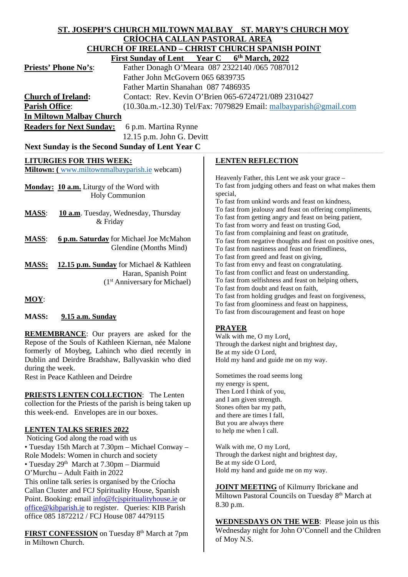| ST. JOSEPH'S CHURCH MILTOWN MALBAY ST. MARY'S CHURCH MOY                                                                                                              |                                                                                                                    |  |
|-----------------------------------------------------------------------------------------------------------------------------------------------------------------------|--------------------------------------------------------------------------------------------------------------------|--|
| <b>CRÍOCHA CALLAN PASTORAL AREA</b>                                                                                                                                   |                                                                                                                    |  |
| <b>CHURCH OF IRELAND - CHRIST CHURCH SPANISH POINT</b>                                                                                                                |                                                                                                                    |  |
| Year C<br>6th March, 2022<br><b>First Sunday of Lent</b>                                                                                                              |                                                                                                                    |  |
| <b>Priests' Phone No's:</b>                                                                                                                                           | Father Donagh O'Meara 087 2322140 /065 7087012                                                                     |  |
| Father John McGovern 065 6839735                                                                                                                                      |                                                                                                                    |  |
| Father Martin Shanahan 087 7486935                                                                                                                                    |                                                                                                                    |  |
| <b>Church of Ireland:</b>                                                                                                                                             | Contact: Rev. Kevin O'Brien 065-6724721/089 2310427                                                                |  |
| <b>Parish Office:</b>                                                                                                                                                 | (10.30a.m.-12.30) Tel/Fax: 7079829 Email: malbayparish@gmail.com                                                   |  |
| In Miltown Malbay Church                                                                                                                                              |                                                                                                                    |  |
| <b>Readers for Next Sunday:</b><br>6 p.m. Martina Rynne                                                                                                               |                                                                                                                    |  |
| 12.15 p.m. John G. Devitt                                                                                                                                             |                                                                                                                    |  |
| Next Sunday is the Second Sunday of Lent Year C                                                                                                                       |                                                                                                                    |  |
|                                                                                                                                                                       |                                                                                                                    |  |
| <b>LITURGIES FOR THIS WEEK:</b><br>Miltown: (www.miltownmalbayparish.ie webcam)                                                                                       | <b>LENTEN REFLECTION</b>                                                                                           |  |
|                                                                                                                                                                       | Heavenly Father, this Lent we ask your grace -                                                                     |  |
| Monday: 10 a.m. Liturgy of the Word with                                                                                                                              | To fast from judging others and feast on what makes them                                                           |  |
| <b>Holy Communion</b>                                                                                                                                                 | special,                                                                                                           |  |
|                                                                                                                                                                       | To fast from unkind words and feast on kindness,                                                                   |  |
| <b>MASS:</b><br>10 a.m. Tuesday, Wednesday, Thursday                                                                                                                  | To fast from jealousy and feast on offering compliments,<br>To fast from getting angry and feast on being patient, |  |
| & Friday                                                                                                                                                              | To fast from worry and feast on trusting God,                                                                      |  |
|                                                                                                                                                                       | To fast from complaining and feast on gratitude,                                                                   |  |
| <b>MASS:</b><br>6 p.m. Saturday for Michael Joe McMahon                                                                                                               | To fast from negative thoughts and feast on positive ones,                                                         |  |
| Glendine (Months Mind)                                                                                                                                                | To fast from nastiness and feast on friendliness,                                                                  |  |
| <b>MASS:</b><br>12.15 p.m. Sunday for Michael & Kathleen                                                                                                              | To fast from greed and feast on giving,<br>To fast from envy and feast on congratulating.                          |  |
| Haran, Spanish Point                                                                                                                                                  | To fast from conflict and feast on understanding.                                                                  |  |
| (1 <sup>st</sup> Anniversary for Michael)                                                                                                                             | To fast from selfishness and feast on helping others,                                                              |  |
|                                                                                                                                                                       | To fast from doubt and feast on faith,                                                                             |  |
| $MOY$ :                                                                                                                                                               | To fast from holding grudges and feast on forgiveness,<br>To fast from gloominess and feast on happiness,          |  |
|                                                                                                                                                                       | To fast from discouragement and feast on hope                                                                      |  |
| <b>MASS:</b><br>9.15 a.m. Sunday                                                                                                                                      |                                                                                                                    |  |
|                                                                                                                                                                       | <b>PRAYER</b>                                                                                                      |  |
| REMEMBRANCE: Our prayers are asked for the<br>Repose of the Souls of Kathleen Kiernan, née Malone                                                                     | Walk with me, O my Lord,                                                                                           |  |
| formerly of Moybeg, Lahinch who died recently in                                                                                                                      | Through the darkest night and brightest day,<br>Be at my side O Lord,                                              |  |
| Dublin and Deirdre Bradshaw, Ballyvaskin who died                                                                                                                     | Hold my hand and guide me on my way.                                                                               |  |
| during the week.                                                                                                                                                      |                                                                                                                    |  |
| Rest in Peace Kathleen and Deirdre                                                                                                                                    | Sometimes the road seems long                                                                                      |  |
|                                                                                                                                                                       | my energy is spent,                                                                                                |  |
| <b>PRIESTS LENTEN COLLECTION:</b> The Lenten                                                                                                                          | Then Lord I think of you,<br>and I am given strength.                                                              |  |
| collection for the Priests of the parish is being taken up                                                                                                            | Stones often bar my path,                                                                                          |  |
| this week-end. Envelopes are in our boxes.                                                                                                                            | and there are times I fall,                                                                                        |  |
|                                                                                                                                                                       | But you are always there                                                                                           |  |
| <b>LENTEN TALKS SERIES 2022</b><br>Noticing God along the road with us                                                                                                | to help me when I call.                                                                                            |  |
| • Tuesday 15th March at 7.30pm - Michael Conway -                                                                                                                     | Walk with me, O my Lord,                                                                                           |  |
| Role Models: Women in church and society                                                                                                                              | Through the darkest night and brightest day,                                                                       |  |
| • Tuesday 29 <sup>th</sup> March at 7.30pm - Diarmuid                                                                                                                 | Be at my side O Lord,                                                                                              |  |
| O'Murchu - Adult Faith in 2022                                                                                                                                        | Hold my hand and guide me on my way.                                                                               |  |
| This online talk series is organised by the Críocha                                                                                                                   |                                                                                                                    |  |
| <b>JOINT MEETING</b> of Kilmurry Ibrickane and<br>Callan Cluster and FCJ Spirituality House, Spanish<br>Miltown Pastoral Councils on Tuesday 8 <sup>th</sup> March at |                                                                                                                    |  |
| Point. Booking: email info@fcjspiritualityhouse.ie or                                                                                                                 | 8.30 p.m.                                                                                                          |  |
| office@kibparish.ie to register. Queries: KIB Parish                                                                                                                  |                                                                                                                    |  |
| office 085 1872212 / FCJ House 087 4479115                                                                                                                            | <b>WEDNESDAYS ON THE WEB:</b> Please join us this                                                                  |  |
| <b>FIRST CONFESSION</b> on Tuesday 8 <sup>th</sup> March at 7pm                                                                                                       | Wednesday night for John O'Connell and the Children                                                                |  |
| in Miltown Church.                                                                                                                                                    | of Moy N.S.                                                                                                        |  |

 $\overline{\phantom{a}}$